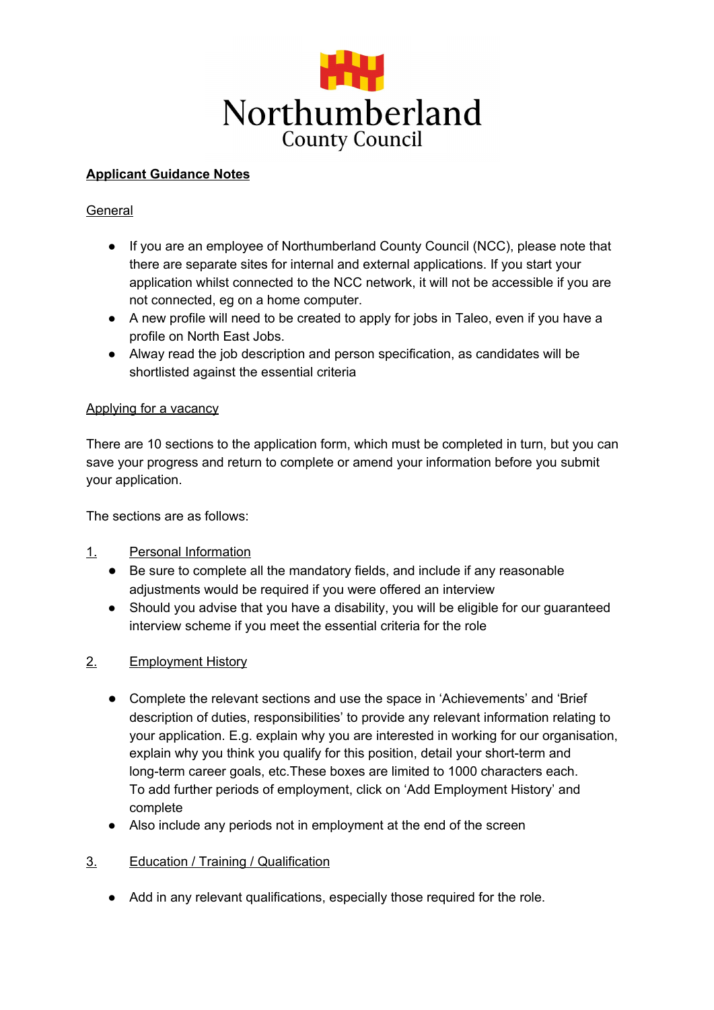

# **Applicant Guidance Notes**

## **General**

- If you are an employee of Northumberland County Council (NCC), please note that there are separate sites for internal and external applications. If you start your application whilst connected to the NCC network, it will not be accessible if you are not connected, eg on a home computer.
- A new profile will need to be created to apply for jobs in Taleo, even if you have a profile on North East Jobs.
- Alway read the job description and person specification, as candidates will be shortlisted against the essential criteria

### Applying for a vacancy

There are 10 sections to the application form, which must be completed in turn, but you can save your progress and return to complete or amend your information before you submit your application.

The sections are as follows:

## 1. Personal Information

- Be sure to complete all the mandatory fields, and include if any reasonable adjustments would be required if you were offered an interview
- Should you advise that you have a disability, you will be eligible for our guaranteed interview scheme if you meet the essential criteria for the role

## 2. Employment History

- Complete the relevant sections and use the space in 'Achievements' and 'Brief description of duties, responsibilities' to provide any relevant information relating to your application. E.g. explain why you are interested in working for our organisation, explain why you think you qualify for this position, detail your short-term and long-term career goals, etc.These boxes are limited to 1000 characters each. To add further periods of employment, click on 'Add Employment History' and complete
- Also include any periods not in employment at the end of the screen
- 3. Education / Training / Qualification
	- Add in any relevant qualifications, especially those required for the role.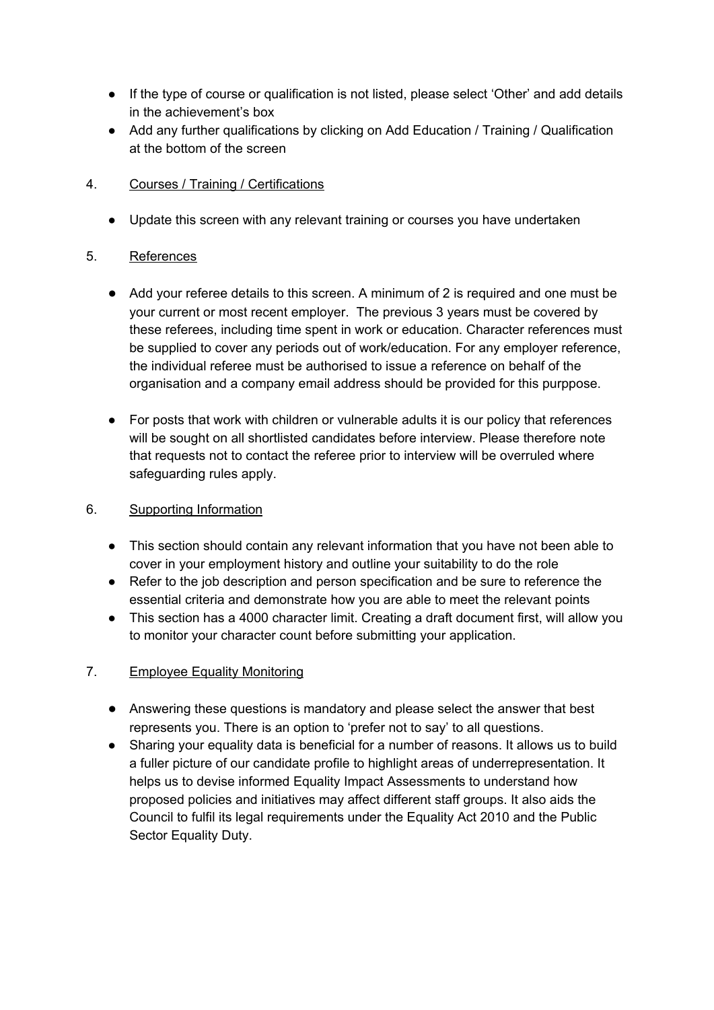- If the type of course or qualification is not listed, please select 'Other' and add details in the achievement's box
- Add any further qualifications by clicking on Add Education / Training / Qualification at the bottom of the screen

# 4. Courses / Training / Certifications

● Update this screen with any relevant training or courses you have undertaken

# 5. References

- Add your referee details to this screen. A minimum of 2 is required and one must be your current or most recent employer. The previous 3 years must be covered by these referees, including time spent in work or education. Character references must be supplied to cover any periods out of work/education. For any employer reference, the individual referee must be authorised to issue a reference on behalf of the organisation and a company email address should be provided for this purppose.
- For posts that work with children or vulnerable adults it is our policy that references will be sought on all shortlisted candidates before interview. Please therefore note that requests not to contact the referee prior to interview will be overruled where safeguarding rules apply.

# 6. Supporting Information

- This section should contain any relevant information that you have not been able to cover in your employment history and outline your suitability to do the role
- Refer to the job description and person specification and be sure to reference the essential criteria and demonstrate how you are able to meet the relevant points
- This section has a 4000 character limit. Creating a draft document first, will allow you to monitor your character count before submitting your application.

# 7. Employee Equality Monitoring

- Answering these questions is mandatory and please select the answer that best represents you. There is an option to 'prefer not to say' to all questions.
- Sharing your equality data is beneficial for a number of reasons. It allows us to build a fuller picture of our candidate profile to highlight areas of underrepresentation. It helps us to devise informed Equality Impact Assessments to understand how proposed policies and initiatives may affect different staff groups. It also aids the Council to fulfil its legal requirements under the Equality Act 2010 and the Public Sector Equality Duty.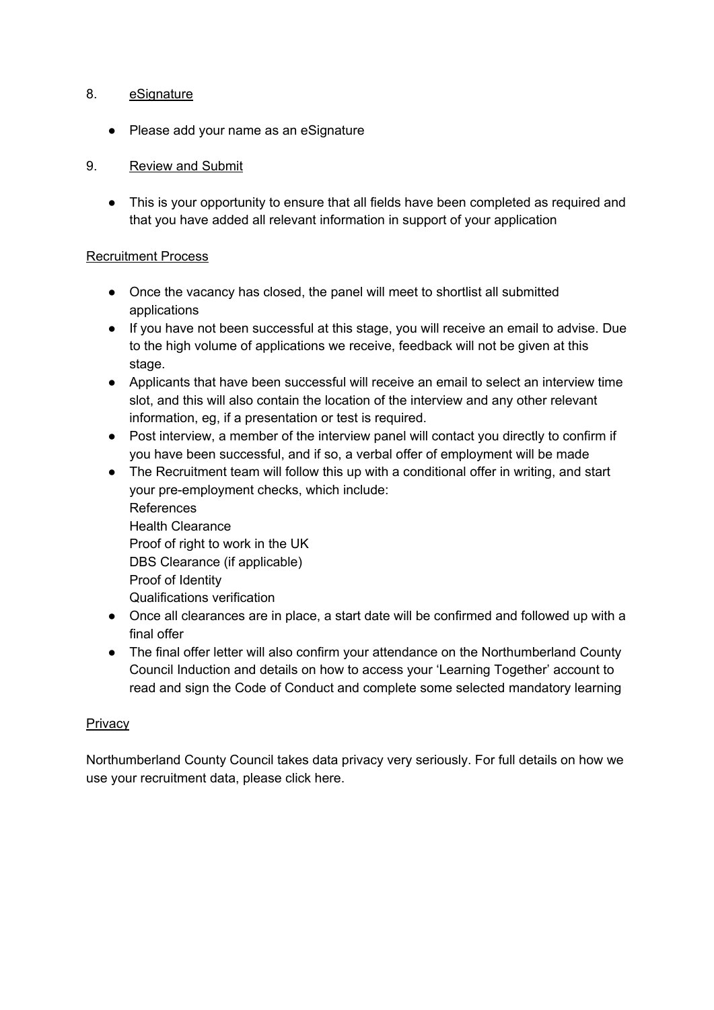### 8. eSignature

● Please add your name as an eSignature

# 9. Review and Submit

● This is your opportunity to ensure that all fields have been completed as required and that you have added all relevant information in support of your application

## Recruitment Process

- Once the vacancy has closed, the panel will meet to shortlist all submitted applications
- If you have not been successful at this stage, you will receive an email to advise. Due to the high volume of applications we receive, feedback will not be given at this stage.
- Applicants that have been successful will receive an email to select an interview time slot, and this will also contain the location of the interview and any other relevant information, eg, if a presentation or test is required.
- Post interview, a member of the interview panel will contact you directly to confirm if you have been successful, and if so, a verbal offer of employment will be made
- The Recruitment team will follow this up with a conditional offer in writing, and start your pre-employment checks, which include: References Health Clearance Proof of right to work in the UK DBS Clearance (if applicable) Proof of Identity Qualifications verification
- Once all clearances are in place, a start date will be confirmed and followed up with a final offer
- The final offer letter will also confirm your attendance on the Northumberland County Council Induction and details on how to access your 'Learning Together' account to read and sign the Code of Conduct and complete some selected mandatory learning

## **Privacy**

Northumberland County Council takes data privacy very seriously. For full details on how we use your recruitment data, please click here.